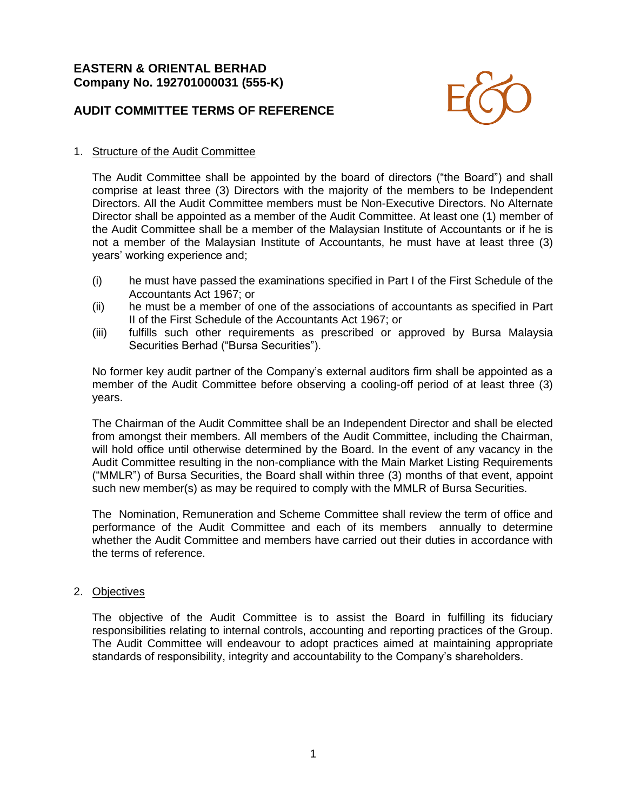## **EASTERN & ORIENTAL BERHAD Company No. 192701000031 (555-K)**

# **AUDIT COMMITTEE TERMS OF REFERENCE**



#### 1. Structure of the Audit Committee

The Audit Committee shall be appointed by the board of directors ("the Board") and shall comprise at least three (3) Directors with the majority of the members to be Independent Directors. All the Audit Committee members must be Non-Executive Directors. No Alternate Director shall be appointed as a member of the Audit Committee. At least one (1) member of the Audit Committee shall be a member of the Malaysian Institute of Accountants or if he is not a member of the Malaysian Institute of Accountants, he must have at least three (3) years' working experience and;

- (i) he must have passed the examinations specified in Part I of the First Schedule of the Accountants Act 1967; or
- (ii) he must be a member of one of the associations of accountants as specified in Part II of the First Schedule of the Accountants Act 1967; or
- (iii) fulfills such other requirements as prescribed or approved by Bursa Malaysia Securities Berhad ("Bursa Securities").

No former key audit partner of the Company's external auditors firm shall be appointed as a member of the Audit Committee before observing a cooling-off period of at least three (3) years.

The Chairman of the Audit Committee shall be an Independent Director and shall be elected from amongst their members. All members of the Audit Committee, including the Chairman, will hold office until otherwise determined by the Board. In the event of any vacancy in the Audit Committee resulting in the non-compliance with the Main Market Listing Requirements ("MMLR") of Bursa Securities, the Board shall within three (3) months of that event, appoint such new member(s) as may be required to comply with the MMLR of Bursa Securities.

The Nomination, Remuneration and Scheme Committee shall review the term of office and performance of the Audit Committee and each of its members annually to determine whether the Audit Committee and members have carried out their duties in accordance with the terms of reference.

#### 2. Objectives

The objective of the Audit Committee is to assist the Board in fulfilling its fiduciary responsibilities relating to internal controls, accounting and reporting practices of the Group. The Audit Committee will endeavour to adopt practices aimed at maintaining appropriate standards of responsibility, integrity and accountability to the Company's shareholders.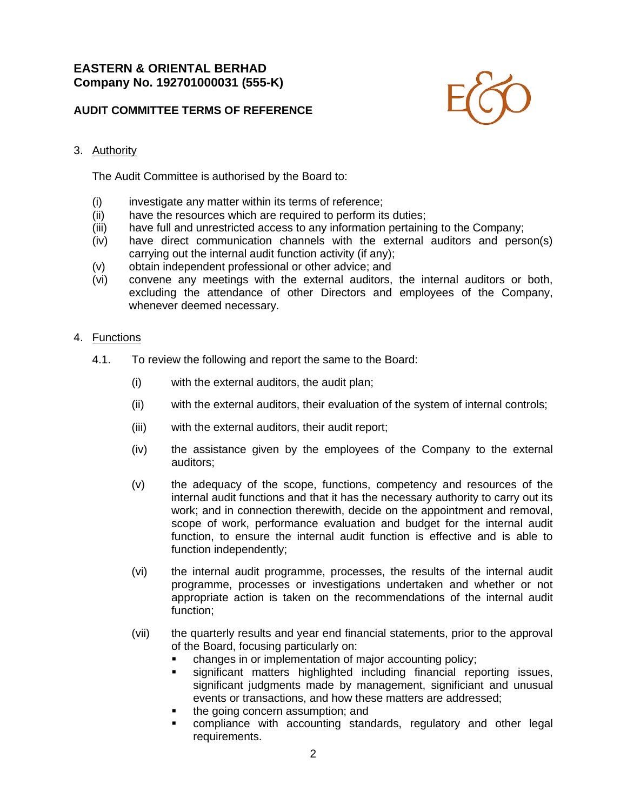## **EASTERN & ORIENTAL BERHAD Company No. 192701000031 (555-K)**

## **AUDIT COMMITTEE TERMS OF REFERENCE**



#### 3. Authority

The Audit Committee is authorised by the Board to:

- (i) investigate any matter within its terms of reference;
- (ii) have the resources which are required to perform its duties;
- (iii) have full and unrestricted access to any information pertaining to the Company;
- (iv) have direct communication channels with the external auditors and person(s) carrying out the internal audit function activity (if any);
- (v) obtain independent professional or other advice; and
- (vi) convene any meetings with the external auditors, the internal auditors or both, excluding the attendance of other Directors and employees of the Company, whenever deemed necessary.

#### 4. Functions

- 4.1. To review the following and report the same to the Board:
	- (i) with the external auditors, the audit plan;
	- (ii) with the external auditors, their evaluation of the system of internal controls;
	- (iii) with the external auditors, their audit report;
	- (iv) the assistance given by the employees of the Company to the external auditors;
	- (v) the adequacy of the scope, functions, competency and resources of the internal audit functions and that it has the necessary authority to carry out its work; and in connection therewith, decide on the appointment and removal, scope of work, performance evaluation and budget for the internal audit function, to ensure the internal audit function is effective and is able to function independently;
	- (vi) the internal audit programme, processes, the results of the internal audit programme, processes or investigations undertaken and whether or not appropriate action is taken on the recommendations of the internal audit function;
	- (vii) the quarterly results and year end financial statements, prior to the approval of the Board, focusing particularly on:
		- changes in or implementation of major accounting policy;
		- significant matters highlighted including financial reporting issues, significant judgments made by management, significiant and unusual events or transactions, and how these matters are addressed;
		- the going concern assumption; and
		- compliance with accounting standards, regulatory and other legal requirements.